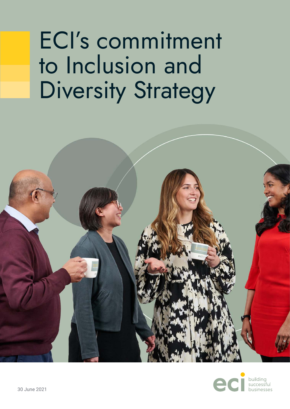# ECI's commitment to Inclusion and Diversity Strategy



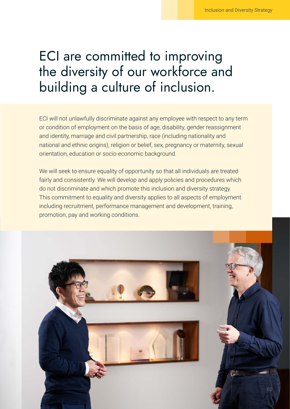# ECI are committed to improving the diversity of our workforce and building a culture of inclusion.

ECI will not unlawfully discriminate against any employee with respect to any term or condition of employment on the basis of age, disability, gender reassignment and identity, marriage and civil partnership, race (including nationality and national and ethnic origins), religion or belief, sex, pregnancy or maternity, sexual orientation, education or socio-economic background.

We will seek to ensure equality of opportunity so that all individuals are treated fairly and consistently. We will develop and apply policies and procedures which do not discriminate and which promote this inclusion and diversity strategy. This commitment to equality and diversity applies to all aspects of employment including recruitment, performance management and development, training, promotion, pay and working conditions.

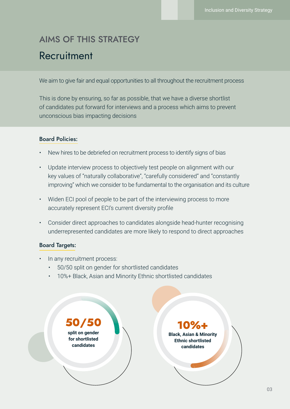## **Recruitment** AIMS OF THIS STRATEGY

We aim to give fair and equal opportunities to all throughout the recruitment process

This is done by ensuring, so far as possible, that we have a diverse shortlist of candidates put forward for interviews and a process which aims to prevent unconscious bias impacting decisions

### Board Policies:

- New hires to be debriefed on recruitment process to identify signs of bias
- Update interview process to objectively test people on alignment with our key values of "naturally collaborative", "carefully considered" and "constantly improving" which we consider to be fundamental to the organisation and its culture
- Widen ECI pool of people to be part of the interviewing process to more accurately represent ECI's current diversity profile
- Consider direct approaches to candidates alongside head-hunter recognising underrepresented candidates are more likely to respond to direct approaches

### Board Targets:

- In any recruitment process:
	- 50/50 split on gender for shortlisted candidates
	- 10%+ Black, Asian and Minority Ethnic shortlisted candidates

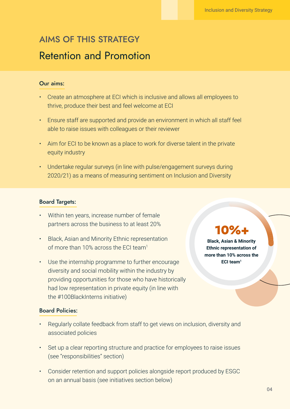### AIMS OF THIS STRATEGY Retention and Promotion

### Our aims:

- Create an atmosphere at ECI which is inclusive and allows all employees to thrive, produce their best and feel welcome at ECI
- Ensure staff are supported and provide an environment in which all staff feel able to raise issues with colleagues or their reviewer
- Aim for ECI to be known as a place to work for diverse talent in the private equity industry
- Undertake regular surveys (in line with pulse/engagement surveys during 2020/21) as a means of measuring sentiment on Inclusion and Diversity

### Board Targets:

- Within ten years, increase number of female partners across the business to at least 20%
- Black, Asian and Minority Ethnic representation of more than 10% across the ECI team<sup>1</sup>
- Use the internship programme to further encourage diversity and social mobility within the industry by providing opportunities for those who have historically had low representation in private equity (in line with the #100BlackInterns initiative)

### Board Policies:

- Regularly collate feedback from staff to get views on inclusion, diversity and associated policies
- Set up a clear reporting structure and practice for employees to raise issues (see "responsibilities" section)
- Consider retention and support policies alongside report produced by ESGC on an annual basis (see initiatives section below)

## **10%+**

**Black, Asian & Minority Ethnic representation of more than 10% across the ECI team<sup>1</sup>**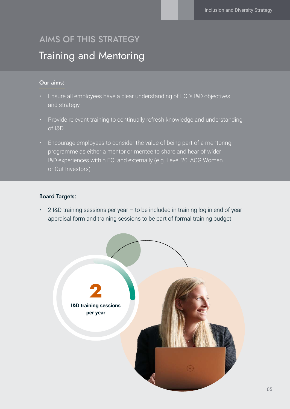## AIMS OF THIS STRATEGY Training and Mentoring

#### Our aims:

- Ensure all employees have a clear understanding of ECI's I&D objectives and strategy
- Provide relevant training to continually refresh knowledge and understanding of I&D
- Encourage employees to consider the value of being part of a mentoring programme as either a mentor or mentee to share and hear of wider I&D experiences within ECI and externally (e.g. Level 20, ACG Women or Out Investors)

### Board Targets:

2 I&D training sessions per year  $-$  to be included in training log in end of year appraisal form and training sessions to be part of formal training budget

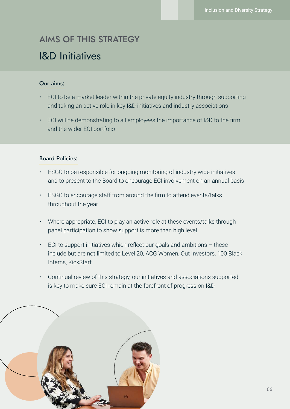### I&D Initiatives AIMS OF THIS STRATEGY

### Our aims:

- ECI to be a market leader within the private equity industry through supporting and taking an active role in key I&D initiatives and industry associations
- ECI will be demonstrating to all employees the importance of I&D to the firm and the wider ECI portfolio

#### Board Policies:

- ESGC to be responsible for ongoing monitoring of industry wide initiatives and to present to the Board to encourage ECI involvement on an annual basis
- ESGC to encourage staff from around the firm to attend events/talks throughout the year
- Where appropriate, ECI to play an active role at these events/talks through panel participation to show support is more than high level
- $\epsilon$  ECI to support initiatives which reflect our goals and ambitions  $-$  these include but are not limited to Level 20, ACG Women, Out Investors, 100 Black Interns, KickStart
- Continual review of this strategy, our initiatives and associations supported is key to make sure ECI remain at the forefront of progress on I&D

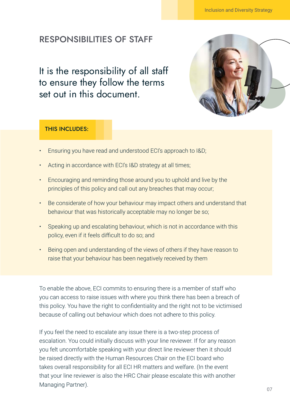### RESPONSIBILITIES OF STAFF

It is the responsibility of all staff to ensure they follow the terms set out in this document.



#### THIS INCLUDES:

- Ensuring you have read and understood ECI's approach to I&D;
- Acting in accordance with ECI's I&D strategy at all times;
- Encouraging and reminding those around you to uphold and live by the principles of this policy and call out any breaches that may occur;
- Be considerate of how your behaviour may impact others and understand that behaviour that was historically acceptable may no longer be so;
- Speaking up and escalating behaviour, which is not in accordance with this policy, even if it feels difficult to do so; and
- Being open and understanding of the views of others if they have reason to raise that your behaviour has been negatively received by them

To enable the above, ECI commits to ensuring there is a member of staff who you can access to raise issues with where you think there has been a breach of this policy. You have the right to confidentiality and the right not to be victimised because of calling out behaviour which does not adhere to this policy.

If you feel the need to escalate any issue there is a two-step process of escalation. You could initially discuss with your line reviewer. If for any reason you felt uncomfortable speaking with your direct line reviewer then it should be raised directly with the Human Resources Chair on the ECI board who takes overall responsibility for all ECI HR matters and welfare. (In the event that your line reviewer is also the HRC Chair please escalate this with another Managing Partner).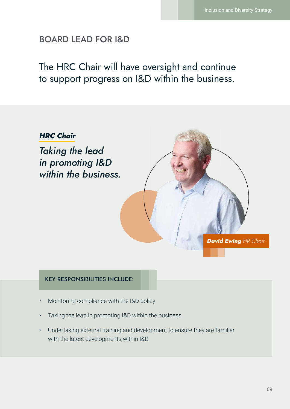### BOARD LEAD FOR I&D

### The HRC Chair will have oversight and continue to support progress on I&D within the business.



### KEY RESPONSIBILITIES INCLUDE:

- Monitoring compliance with the I&D policy
- Taking the lead in promoting I&D within the business
- Undertaking external training and development to ensure they are familiar with the latest developments within I&D